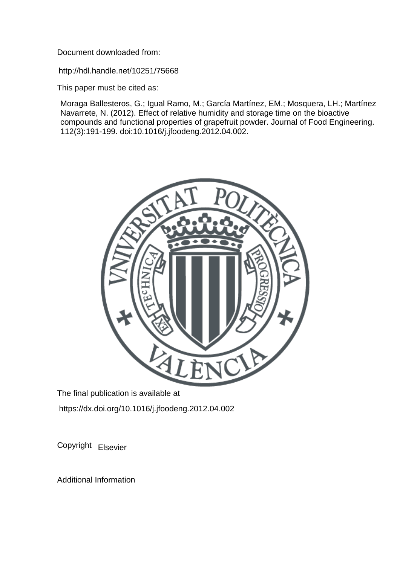Document downloaded from:

http://hdl.handle.net/10251/75668

This paper must be cited as:

Moraga Ballesteros, G.; Igual Ramo, M.; García Martínez, EM.; Mosquera, LH.; Martínez Navarrete, N. (2012). Effect of relative humidity and storage time on the bioactive compounds and functional properties of grapefruit powder. Journal of Food Engineering. 112(3):191-199. doi:10.1016/j.jfoodeng.2012.04.002.



The final publication is available at https://dx.doi.org/10.1016/j.jfoodeng.2012.04.002

Copyright Elsevier

Additional Information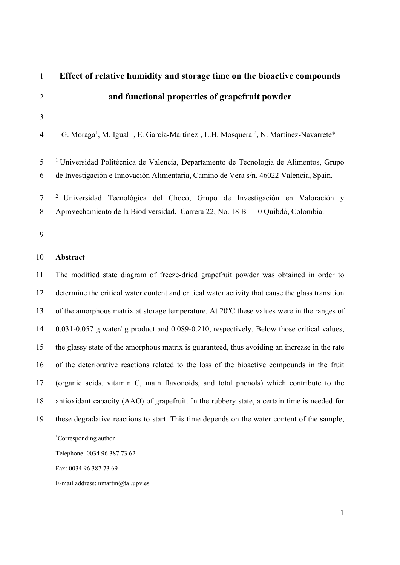| $\mathbf{1}$   | Effect of relative humidity and storage time on the bioactive compounds                                                                             |
|----------------|-----------------------------------------------------------------------------------------------------------------------------------------------------|
| $\overline{2}$ | and functional properties of grapefruit powder                                                                                                      |
| 3              |                                                                                                                                                     |
| 4              | G. Moraga <sup>1</sup> , M. Igual <sup>1</sup> , E. García-Martínez <sup>1</sup> , L.H. Mosquera <sup>2</sup> , N. Martínez-Navarrete <sup>*1</sup> |
| 5              | <sup>1</sup> Universidad Politécnica de Valencia, Departamento de Tecnología de Alimentos, Grupo                                                    |
| 6              | de Investigación e Innovación Alimentaria, Camino de Vera s/n, 46022 Valencia, Spain.                                                               |
| $\tau$         | <sup>2</sup> Universidad Tecnológica del Chocó, Grupo de Investigación en Valoración y                                                              |
| 8              | Aprovechamiento de la Biodiversidad, Carrera 22, No. 18 B – 10 Quibdó, Colombia.                                                                    |
| 9              |                                                                                                                                                     |
| 10             | Abstract                                                                                                                                            |
| 11             | The modified state diagram of freeze-dried grapefruit powder was obtained in order to                                                               |
| 12             | determine the critical water content and critical water activity that cause the glass transition                                                    |
| 13             | of the amorphous matrix at storage temperature. At 20°C these values were in the ranges of                                                          |
| 14             | 0.031-0.057 g water/ g product and 0.089-0.210, respectively. Below those critical values,                                                          |
| 15             | the glassy state of the amorphous matrix is guaranteed, thus avoiding an increase in the rate                                                       |
| 16             | of the deteriorative reactions related to the loss of the bioactive compounds in the fruit                                                          |
| 17             | (organic acids, vitamin C, main flavonoids, and total phenols) which contribute to the                                                              |
| 18             | antioxidant capacity (AAO) of grapefruit. In the rubbery state, a certain time is needed for                                                        |
| 19             | these degradative reactions to start. This time depends on the water content of the sample,                                                         |
|                | *Corresponding author                                                                                                                               |
|                | Telephone: 0034 96 387 73 62                                                                                                                        |

Fax: 0034 96 387 73 69

E-mail address: nmartin@tal.upv.es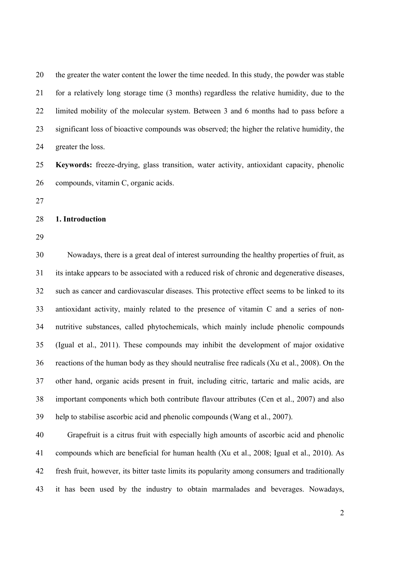20 the greater the water content the lower the time needed. In this study, the powder was stable 21 for a relatively long storage time (3 months) regardless the relative humidity, due to the 22 limited mobility of the molecular system. Between 3 and 6 months had to pass before a 23 significant loss of bioactive compounds was observed; the higher the relative humidity, the 24 greater the loss.

25 **Keywords:** freeze-drying, glass transition, water activity, antioxidant capacity, phenolic 26 compounds, vitamin C, organic acids.

27

#### 28 **1. Introduction**

29

30 Nowadays, there is a great deal of interest surrounding the healthy properties of fruit, as 31 its intake appears to be associated with a reduced risk of chronic and degenerative diseases, 32 such as cancer and cardiovascular diseases. This protective effect seems to be linked to its 33 antioxidant activity, mainly related to the presence of vitamin C and a series of non-34 nutritive substances, called phytochemicals, which mainly include phenolic compounds 35 (Igual et al., 2011). These compounds may inhibit the development of major oxidative 36 reactions of the human body as they should neutralise free radicals (Xu et al., 2008). On the 37 other hand, organic acids present in fruit, including citric, tartaric and malic acids, are 38 important components which both contribute flavour attributes (Cen et al., 2007) and also 39 help to stabilise ascorbic acid and phenolic compounds (Wang et al., 2007).

40 Grapefruit is a citrus fruit with especially high amounts of ascorbic acid and phenolic 41 compounds which are beneficial for human health (Xu et al., 2008; Igual et al., 2010). As 42 fresh fruit, however, its bitter taste limits its popularity among consumers and traditionally 43 it has been used by the industry to obtain marmalades and beverages. Nowadays,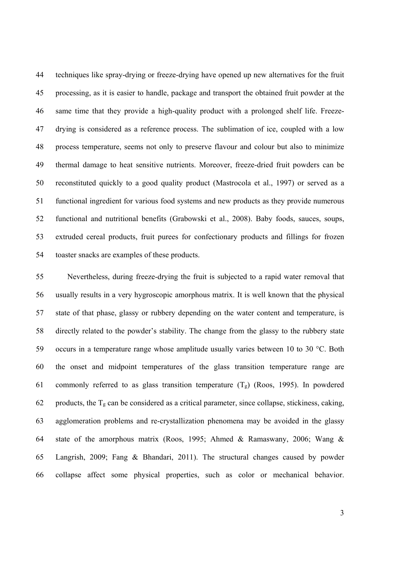44 techniques like spray-drying or freeze-drying have opened up new alternatives for the fruit 45 processing, as it is easier to handle, package and transport the obtained fruit powder at the 46 same time that they provide a high-quality product with a prolonged shelf life. Freeze-47 drying is considered as a reference process. The sublimation of ice, coupled with a low 48 process temperature, seems not only to preserve flavour and colour but also to minimize 49 thermal damage to heat sensitive nutrients. Moreover, freeze-dried fruit powders can be 50 reconstituted quickly to a good quality product (Mastrocola et al., 1997) or served as a 51 functional ingredient for various food systems and new products as they provide numerous 52 functional and nutritional benefits (Grabowski et al., 2008). Baby foods, sauces, soups, 53 extruded cereal products, fruit purees for confectionary products and fillings for frozen 54 toaster snacks are examples of these products.

55 Nevertheless, during freeze-drying the fruit is subjected to a rapid water removal that 56 usually results in a very hygroscopic amorphous matrix. It is well known that the physical 57 state of that phase, glassy or rubbery depending on the water content and temperature, is 58 directly related to the powder's stability. The change from the glassy to the rubbery state 59 occurs in a temperature range whose amplitude usually varies between 10 to 30 °C. Both 60 the onset and midpoint temperatures of the glass transition temperature range are 61 commonly referred to as glass transition temperature  $(T_g)$  (Roos, 1995). In powdered 62 products, the  $T_g$  can be considered as a critical parameter, since collapse, stickiness, caking, 63 agglomeration problems and re-crystallization phenomena may be avoided in the glassy 64 state of the amorphous matrix (Roos, 1995; Ahmed & Ramaswany, 2006; Wang & 65 Langrish, 2009; Fang & Bhandari, 2011). The structural changes caused by powder 66 collapse affect some physical properties, such as color or mechanical behavior.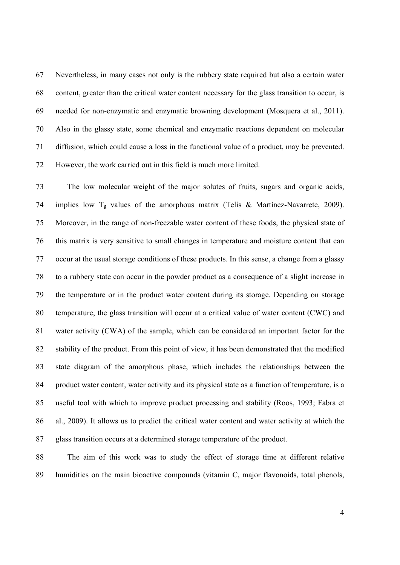67 Nevertheless, in many cases not only is the rubbery state required but also a certain water 68 content, greater than the critical water content necessary for the glass transition to occur, is 69 needed for non-enzymatic and enzymatic browning development (Mosquera et al., 2011). 70 Also in the glassy state, some chemical and enzymatic reactions dependent on molecular 71 diffusion, which could cause a loss in the functional value of a product, may be prevented. 72 However, the work carried out in this field is much more limited.

73 The low molecular weight of the major solutes of fruits, sugars and organic acids, 74 implies low  $T_g$  values of the amorphous matrix (Telis & Martínez-Navarrete, 2009). 75 Moreover, in the range of non-freezable water content of these foods, the physical state of 76 this matrix is very sensitive to small changes in temperature and moisture content that can 77 occur at the usual storage conditions of these products. In this sense, a change from a glassy 78 to a rubbery state can occur in the powder product as a consequence of a slight increase in 79 the temperature or in the product water content during its storage. Depending on storage 80 temperature, the glass transition will occur at a critical value of water content (CWC) and 81 water activity (CWA) of the sample, which can be considered an important factor for the 82 stability of the product. From this point of view, it has been demonstrated that the modified 83 state diagram of the amorphous phase, which includes the relationships between the 84 product water content, water activity and its physical state as a function of temperature, is a 85 useful tool with which to improve product processing and stability (Roos, 1993; Fabra et 86 al., 2009). It allows us to predict the critical water content and water activity at which the 87 glass transition occurs at a determined storage temperature of the product.

88 The aim of this work was to study the effect of storage time at different relative 89 humidities on the main bioactive compounds (vitamin C, major flavonoids, total phenols,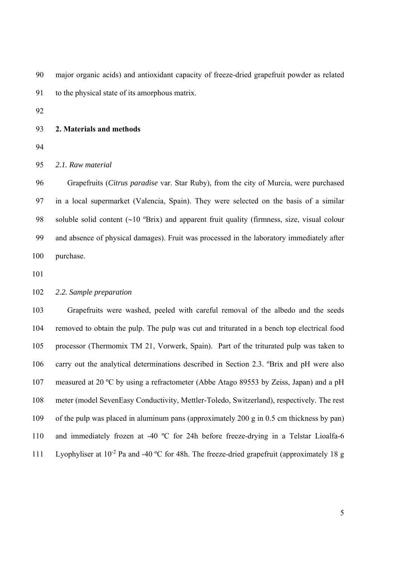90 major organic acids) and antioxidant capacity of freeze-dried grapefruit powder as related 91 to the physical state of its amorphous matrix.

92

### 93 **2. Materials and methods**

94

95 *2.1. Raw material* 

96 Grapefruits (*Citrus paradise* var. Star Ruby), from the city of Murcia, were purchased 97 in a local supermarket (Valencia, Spain). They were selected on the basis of a similar 98 soluble solid content  $({\sim}10$  °Brix) and apparent fruit quality (firmness, size, visual colour 99 and absence of physical damages). Fruit was processed in the laboratory immediately after 100 purchase.

101

# 102 *2.2. Sample preparation*

103 Grapefruits were washed, peeled with careful removal of the albedo and the seeds 104 removed to obtain the pulp. The pulp was cut and triturated in a bench top electrical food 105 processor (Thermomix TM 21, Vorwerk, Spain). Part of the triturated pulp was taken to 106 carry out the analytical determinations described in Section 2.3. ºBrix and pH were also 107 measured at 20 ºC by using a refractometer (Abbe Atago 89553 by Zeiss, Japan) and a pH 108 meter (model SevenEasy Conductivity, Mettler-Toledo, Switzerland), respectively. The rest 109 of the pulp was placed in aluminum pans (approximately 200 g in 0.5 cm thickness by pan) 110 and immediately frozen at -40 ºC for 24h before freeze-drying in a Telstar Lioalfa-6 111 Lyophyliser at  $10^{-2}$  Pa and -40 °C for 48h. The freeze-dried grapefruit (approximately 18 g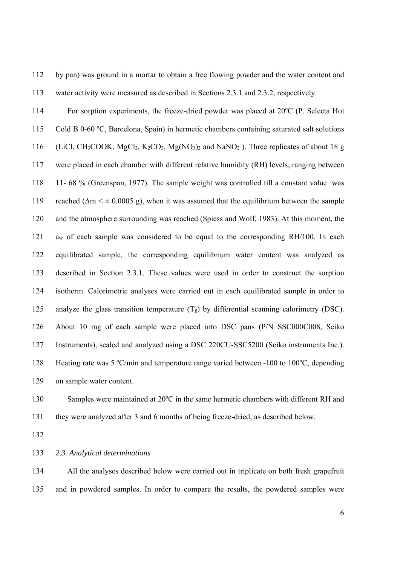112 by pan) was ground in a mortar to obtain a free flowing powder and the water content and 113 water activity were measured as described in Sections 2.3.1 and 2.3.2, respectively.

114 For sorption experiments, the freeze-dried powder was placed at 20ºC (P. Selecta Hot 115 Cold B 0-60 ºC, Barcelona, Spain) in hermetic chambers containing saturated salt solutions 116 (LiCl, CH<sub>3</sub>COOK, MgCl<sub>2</sub>, K<sub>2</sub>CO<sub>3</sub>, Mg(NO<sub>3</sub>)<sub>2</sub> and NaNO<sub>2</sub>). Three replicates of about 18 g 117 were placed in each chamber with different relative humidity (RH) levels, ranging between 118 11- 68 % (Greenspan, 1977). The sample weight was controlled till a constant value was 119 reached ( $\Delta m \leq \pm 0.0005$  g), when it was assumed that the equilibrium between the sample 120 and the atmosphere surrounding was reached (Spiess and Wolf, 1983). At this moment, the 121 aw of each sample was considered to be equal to the corresponding RH/100. In each 122 equilibrated sample, the corresponding equilibrium water content was analyzed as 123 described in Section 2.3.1. These values were used in order to construct the sorption 124 isotherm. Calorimetric analyses were carried out in each equilibrated sample in order to 125 analyze the glass transition temperature  $(T_g)$  by differential scanning calorimetry (DSC). 126 About 10 mg of each sample were placed into DSC pans (P/N SSC000C008, Seiko 127 Instruments), sealed and analyzed using a DSC 220CU-SSC5200 (Seiko instruments Inc.). 128 Heating rate was 5 ºC/min and temperature range varied between -100 to 100ºC, depending 129 on sample water content.

130 Samples were maintained at 20<sup>o</sup>C in the same hermetic chambers with different RH and 131 they were analyzed after 3 and 6 months of being freeze-dried, as described below.

132

## 133 *2.3. Analytical determinations*

134 All the analyses described below were carried out in triplicate on both fresh grapefruit 135 and in powdered samples. In order to compare the results, the powdered samples were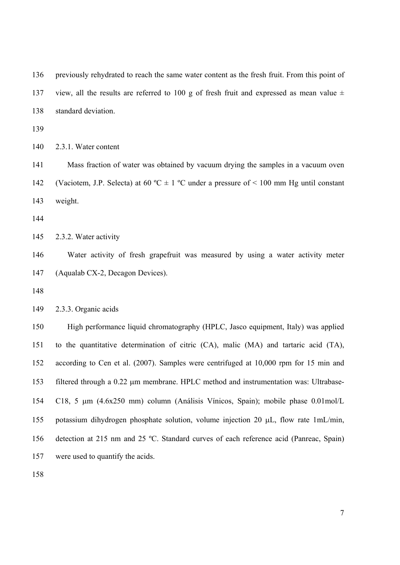136 previously rehydrated to reach the same water content as the fresh fruit. From this point of 137 view, all the results are referred to 100 g of fresh fruit and expressed as mean value  $\pm$ 138 standard deviation.

139

140 2.3.1. Water content

141 Mass fraction of water was obtained by vacuum drying the samples in a vacuum oven 142 (Vaciotem, J.P. Selecta) at 60 °C  $\pm$  1 °C under a pressure of < 100 mm Hg until constant 143 weight.

144

145 2.3.2. Water activity

146 Water activity of fresh grapefruit was measured by using a water activity meter 147 (Aqualab CX-2, Decagon Devices).

148

149 2.3.3. Organic acids

150 High performance liquid chromatography (HPLC, Jasco equipment, Italy) was applied 151 to the quantitative determination of citric (CA), malic (MA) and tartaric acid (TA), 152 according to Cen et al. (2007). Samples were centrifuged at 10,000 rpm for 15 min and 153 filtered through a 0.22  $\mu$ m membrane. HPLC method and instrumentation was: Ultrabase-154 C18, 5 m (4.6x250 mm) column (Análisis Vínicos, Spain); mobile phase 0.01mol/L 155 potassium dihydrogen phosphate solution, volume injection 20  $\mu$ L, flow rate 1mL/min, 156 detection at 215 nm and 25 ºC. Standard curves of each reference acid (Panreac, Spain) 157 were used to quantify the acids.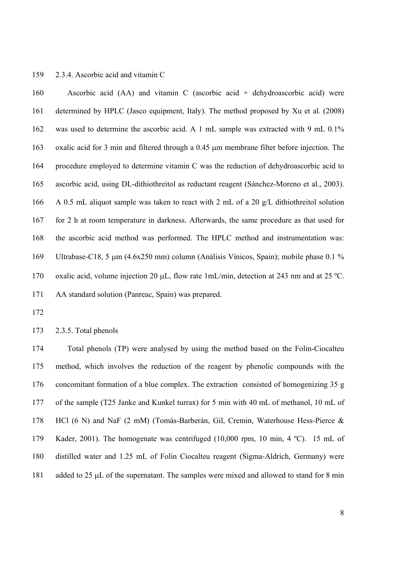### 159 2.3.4. Ascorbic acid and vitamin C

160 Ascorbic acid (AA) and vitamin C (ascorbic acid + dehydroascorbic acid) were 161 determined by HPLC (Jasco equipment, Italy). The method proposed by Xu et al. (2008) 162 was used to determine the ascorbic acid. A 1 mL sample was extracted with 9 mL 0.1% 163 oxalic acid for 3 min and filtered through a 0.45 µm membrane filter before injection. The 164 procedure employed to determine vitamin C was the reduction of dehydroascorbic acid to 165 ascorbic acid, using DL-dithiothreitol as reductant reagent (Sánchez-Moreno et al., 2003). 166 A 0.5 mL aliquot sample was taken to react with 2 mL of a 20 g/L dithiothreitol solution 167 for 2 h at room temperature in darkness. Afterwards, the same procedure as that used for 168 the ascorbic acid method was performed. The HPLC method and instrumentation was: 169 Ultrabase-C18, 5 µm (4.6x250 mm) column (Análisis Vínicos, Spain); mobile phase 0.1 % 170 oxalic acid, volume injection 20  $\mu$ L, flow rate 1mL/min, detection at 243 nm and at 25 °C. 171 AA standard solution (Panreac, Spain) was prepared.

172

173 2.3.5. Total phenols

174 Total phenols (TP) were analysed by using the method based on the Folin-Ciocalteu 175 method, which involves the reduction of the reagent by phenolic compounds with the 176 concomitant formation of a blue complex. The extraction consisted of homogenizing 35 g 177 of the sample (T25 Janke and Kunkel turrax) for 5 min with 40 mL of methanol, 10 mL of 178 HCl (6 N) and NaF (2 mM) (Tomás-Barberán, Gil, Cremin, Waterhouse Hess-Pierce & 179 Kader, 2001). The homogenate was centrifuged (10,000 rpm, 10 min, 4 ºC). 15 mL of 180 distilled water and 1.25 mL of Folin Ciocalteu reagent (Sigma-Aldrich, Germany) were 181 added to 25  $\mu$ L of the supernatant. The samples were mixed and allowed to stand for 8 min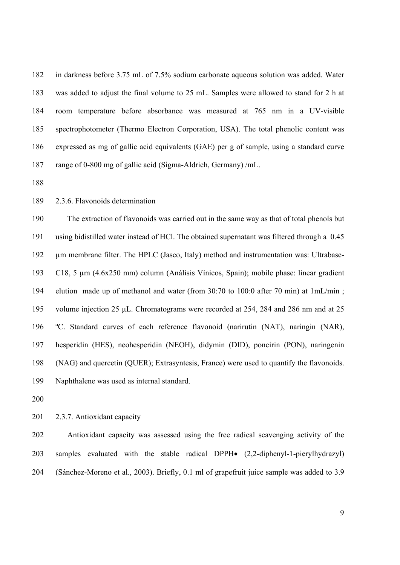182 in darkness before 3.75 mL of 7.5% sodium carbonate aqueous solution was added. Water 183 was added to adjust the final volume to 25 mL. Samples were allowed to stand for 2 h at 184 room temperature before absorbance was measured at 765 nm in a UV-visible 185 spectrophotometer (Thermo Electron Corporation, USA). The total phenolic content was 186 expressed as mg of gallic acid equivalents (GAE) per g of sample, using a standard curve 187 range of 0-800 mg of gallic acid (Sigma-Aldrich, Germany) /mL.

188

189 2.3.6. Flavonoids determination

190 The extraction of flavonoids was carried out in the same way as that of total phenols but 191 using bidistilled water instead of HCl. The obtained supernatant was filtered through a 0.45 192 µm membrane filter. The HPLC (Jasco, Italy) method and instrumentation was: Ultrabase-193 C18, 5 µm (4.6x250 mm) column (Análisis Vínicos, Spain); mobile phase: linear gradient 194 elution made up of methanol and water (from 30:70 to 100:0 after 70 min) at 1mL/min ; 195 volume injection 25 µL. Chromatograms were recorded at 254, 284 and 286 nm and at 25 196 ºC. Standard curves of each reference flavonoid (narirutin (NAT), naringin (NAR), 197 hesperidin (HES), neohesperidin (NEOH), didymin (DID), poncirin (PON), naringenin 198 (NAG) and quercetin (QUER); Extrasyntesis, France) were used to quantify the flavonoids. 199 Naphthalene was used as internal standard.

200

201 2.3.7. Antioxidant capacity

202 Antioxidant capacity was assessed using the free radical scavenging activity of the 203 samples evaluated with the stable radical DPPH $\bullet$  (2,2-diphenyl-1-pierylhydrazyl) 204 (Sánchez-Moreno et al., 2003). Briefly, 0.1 ml of grapefruit juice sample was added to 3.9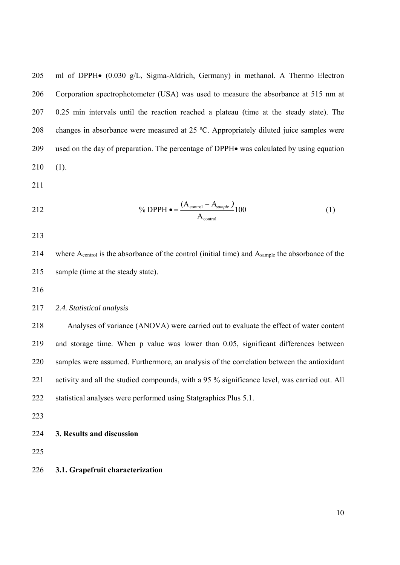205 ml of DPPH $\bullet$  (0.030 g/L, Sigma-Aldrich, Germany) in methanol. A Thermo Electron 206 Corporation spectrophotometer (USA) was used to measure the absorbance at 515 nm at 207 0.25 min intervals until the reaction reached a plateau (time at the steady state). The 208 changes in absorbance were measured at 25 ºC. Appropriately diluted juice samples were 209 used on the day of preparation. The percentage of DPPH $\bullet$  was calculated by using equation 210 (1).

211

$$
\% \text{ DPPH} \bullet = \frac{(A_{\text{control}} - A_{\text{sample}})}{A_{\text{control}}}
$$
 (1)

213

214 where A<sub>control</sub> is the absorbance of the control (initial time) and A<sub>sample</sub> the absorbance of the 215 sample (time at the steady state).

216

# 217 *2.4. Statistical analysis*

218 Analyses of variance (ANOVA) were carried out to evaluate the effect of water content 219 and storage time. When p value was lower than 0.05, significant differences between 220 samples were assumed. Furthermore, an analysis of the correlation between the antioxidant 221 activity and all the studied compounds, with a 95 % significance level, was carried out. All 222 statistical analyses were performed using Statgraphics Plus 5.1.

223

224 **3. Results and discussion** 

225

226 **3.1. Grapefruit characterization**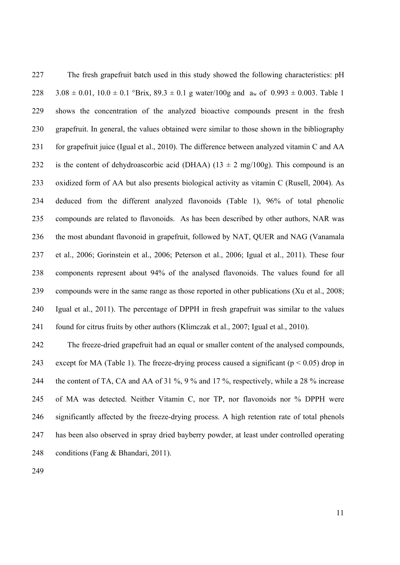227 The fresh grapefruit batch used in this study showed the following characteristics: pH 228 3.08  $\pm$  0.01, 10.0  $\pm$  0.1 °Brix, 89.3  $\pm$  0.1 g water/100g and a<sub>w</sub> of 0.993  $\pm$  0.003. Table 1 229 shows the concentration of the analyzed bioactive compounds present in the fresh 230 grapefruit. In general, the values obtained were similar to those shown in the bibliography 231 for grapefruit juice (Igual et al., 2010). The difference between analyzed vitamin C and AA 232 is the content of dehydroascorbic acid (DHAA) ( $13 \pm 2$  mg/ $100$ g). This compound is an 233 oxidized form of AA but also presents biological activity as vitamin C (Rusell, 2004). As 234 deduced from the different analyzed flavonoids (Table 1), 96% of total phenolic 235 compounds are related to flavonoids. As has been described by other authors, NAR was 236 the most abundant flavonoid in grapefruit, followed by NAT, QUER and NAG (Vanamala 237 et al., 2006; Gorinstein et al., 2006; Peterson et al., 2006; Igual et al., 2011). These four 238 components represent about 94% of the analysed flavonoids. The values found for all 239 compounds were in the same range as those reported in other publications (Xu et al., 2008; 240 Igual et al., 2011). The percentage of DPPH in fresh grapefruit was similar to the values 241 found for citrus fruits by other authors (Klimczak et al., 2007; Igual et al., 2010).

242 The freeze-dried grapefruit had an equal or smaller content of the analysed compounds, 243 except for MA (Table 1). The freeze-drying process caused a significant ( $p < 0.05$ ) drop in 244 the content of TA, CA and AA of 31 %, 9 % and 17 %, respectively, while a 28 % increase 245 of MA was detected. Neither Vitamin C, nor TP, nor flavonoids nor % DPPH were 246 significantly affected by the freeze-drying process. A high retention rate of total phenols 247 has been also observed in spray dried bayberry powder, at least under controlled operating 248 conditions (Fang & Bhandari, 2011).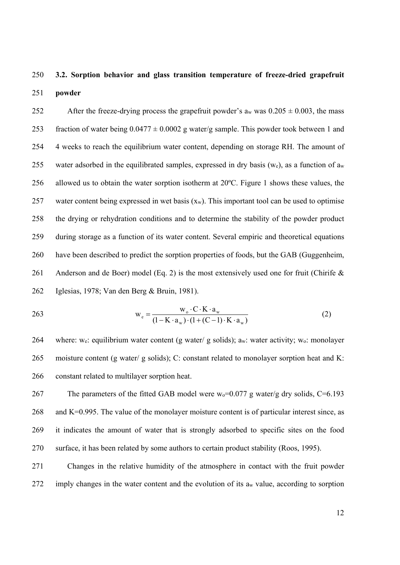# 250 **3.2. Sorption behavior and glass transition temperature of freeze-dried grapefruit**  251 **powder**

252 After the freeze-drying process the grapefruit powder's a<sub>w</sub> was  $0.205 \pm 0.003$ , the mass 253 fraction of water being  $0.0477 \pm 0.0002$  g water/g sample. This powder took between 1 and 254 4 weeks to reach the equilibrium water content, depending on storage RH. The amount of 255 water adsorbed in the equilibrated samples, expressed in dry basis (we), as a function of  $a_w$ 256 allowed us to obtain the water sorption isotherm at 20ºC. Figure 1 shows these values, the 257 water content being expressed in wet basis  $(x_w)$ . This important tool can be used to optimise 258 the drying or rehydration conditions and to determine the stability of the powder product 259 during storage as a function of its water content. Several empiric and theoretical equations 260 have been described to predict the sorption properties of foods, but the GAB (Guggenheim, 261 Anderson and de Boer) model (Eq. 2) is the most extensively used one for fruit (Chirife  $\&$ 262 Iglesias, 1978; Van den Berg & Bruin, 1981).

263 
$$
w_e = \frac{w_o \cdot C \cdot K \cdot a_w}{(1 - K \cdot a_w) \cdot (1 + (C - 1) \cdot K \cdot a_w)}
$$
(2)

264 where: we: equilibrium water content (g water/ g solids); aw: water activity; w<sub>0</sub>: monolayer 265 moisture content (g water/ g solids); C: constant related to monolayer sorption heat and K: 266 constant related to multilayer sorption heat.

267 The parameters of the fitted GAB model were  $w_0=0.077$  g water/g dry solids, C=6.193 268 and K=0.995. The value of the monolayer moisture content is of particular interest since, as 269 it indicates the amount of water that is strongly adsorbed to specific sites on the food 270 surface, it has been related by some authors to certain product stability (Roos, 1995).

271 Changes in the relative humidity of the atmosphere in contact with the fruit powder  $272$  imply changes in the water content and the evolution of its a<sub>w</sub> value, according to sorption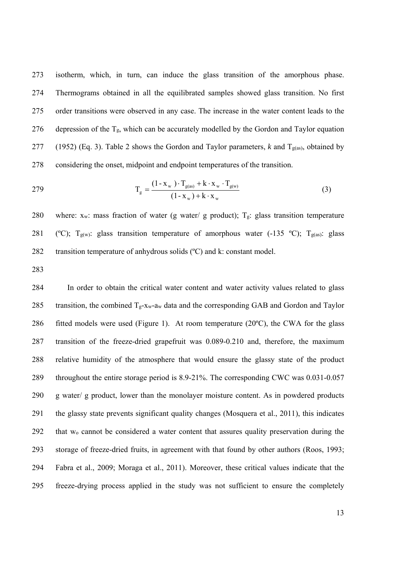273 isotherm, which, in turn, can induce the glass transition of the amorphous phase. 274 Thermograms obtained in all the equilibrated samples showed glass transition. No first 275 order transitions were observed in any case. The increase in the water content leads to the 276 depression of the  $T_g$ , which can be accurately modelled by the Gordon and Taylor equation 277 (1952) (Eq. 3). Table 2 shows the Gordon and Taylor parameters, *k* and T<sub>g(as)</sub>, obtained by 278 considering the onset, midpoint and endpoint temperatures of the transition.

$$
T_{g} = \frac{(1 - x_w) \cdot T_{g(as)} + k \cdot x_w \cdot T_{g(w)}}{(1 - x_w) + k \cdot x_w}
$$
(3)

280 where:  $x_w$ : mass fraction of water (g water/ g product);  $T_g$ : glass transition temperature 281 (°C);  $T_{g(w)}$ : glass transition temperature of amorphous water (-135 °C);  $T_{g(as)}$ : glass 282 transition temperature of anhydrous solids (°C) and k: constant model.

283

284 In order to obtain the critical water content and water activity values related to glass 285 transition, the combined  $T_g$ -xw-aw data and the corresponding GAB and Gordon and Taylor 286 fitted models were used (Figure 1). At room temperature (20 $^{\circ}$ C), the CWA for the glass 287 transition of the freeze-dried grapefruit was 0.089-0.210 and, therefore, the maximum 288 relative humidity of the atmosphere that would ensure the glassy state of the product 289 throughout the entire storage period is 8.9-21%. The corresponding CWC was 0.031-0.057 290 g water/ g product, lower than the monolayer moisture content. As in powdered products 291 the glassy state prevents significant quality changes (Mosquera et al., 2011), this indicates 292 that wo cannot be considered a water content that assures quality preservation during the 293 storage of freeze-dried fruits, in agreement with that found by other authors (Roos, 1993; 294 Fabra et al., 2009; Moraga et al., 2011). Moreover, these critical values indicate that the 295 freeze-drying process applied in the study was not sufficient to ensure the completely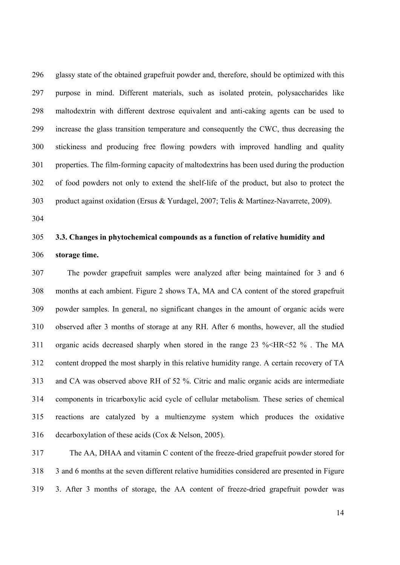296 glassy state of the obtained grapefruit powder and, therefore, should be optimized with this 297 purpose in mind. Different materials, such as isolated protein, polysaccharides like 298 maltodextrin with different dextrose equivalent and anti-caking agents can be used to 299 increase the glass transition temperature and consequently the CWC, thus decreasing the 300 stickiness and producing free flowing powders with improved handling and quality 301 properties. The film-forming capacity of maltodextrins has been used during the production 302 of food powders not only to extend the shelf-life of the product, but also to protect the 303 product against oxidation (Ersus & Yurdagel, 2007; Telis & Martínez-Navarrete, 2009).

304

# 305 **3.3. Changes in phytochemical compounds as a function of relative humidity and**  306 **storage time.**

307 The powder grapefruit samples were analyzed after being maintained for 3 and 6 308 months at each ambient. Figure 2 shows TA, MA and CA content of the stored grapefruit 309 powder samples. In general, no significant changes in the amount of organic acids were 310 observed after 3 months of storage at any RH. After 6 months, however, all the studied 311 organic acids decreased sharply when stored in the range 23 %<HR<52 % . The MA 312 content dropped the most sharply in this relative humidity range. A certain recovery of TA 313 and CA was observed above RH of 52 %. Citric and malic organic acids are intermediate 314 components in tricarboxylic acid cycle of cellular metabolism. These series of chemical 315 reactions are catalyzed by a multienzyme system which produces the oxidative 316 decarboxylation of these acids (Cox & Nelson, 2005).

317 The AA, DHAA and vitamin C content of the freeze-dried grapefruit powder stored for 318 3 and 6 months at the seven different relative humidities considered are presented in Figure 319 3. After 3 months of storage, the AA content of freeze-dried grapefruit powder was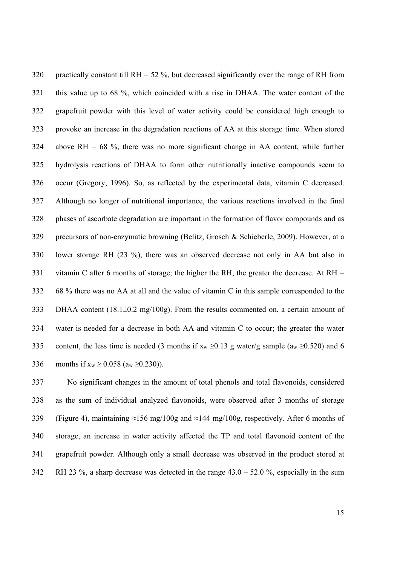320 practically constant till RH =  $52\%$ , but decreased significantly over the range of RH from 321 this value up to 68 %, which coincided with a rise in DHAA. The water content of the 322 grapefruit powder with this level of water activity could be considered high enough to 323 provoke an increase in the degradation reactions of AA at this storage time. When stored 324 above RH = 68 %, there was no more significant change in AA content, while further 325 hydrolysis reactions of DHAA to form other nutritionally inactive compounds seem to 326 occur (Gregory, 1996). So, as reflected by the experimental data, vitamin C decreased. 327 Although no longer of nutritional importance, the various reactions involved in the final 328 phases of ascorbate degradation are important in the formation of flavor compounds and as 329 precursors of non-enzymatic browning (Belitz, Grosch & Schieberle, 2009). However, at a 330 lower storage RH (23 %), there was an observed decrease not only in AA but also in 331 vitamin C after 6 months of storage; the higher the RH, the greater the decrease. At RH  $=$ 332 68 % there was no AA at all and the value of vitamin C in this sample corresponded to the 333 DHAA content  $(18.1\pm0.2 \text{ mg}/100 \text{g})$ . From the results commented on, a certain amount of 334 water is needed for a decrease in both AA and vitamin C to occur; the greater the water 335 content, the less time is needed (3 months if  $x_w \ge 0.13$  g water/g sample ( $a_w \ge 0.520$ ) and 6 336 months if  $x_w \ge 0.058$  ( $a_w \ge 0.230$ )).

337 No significant changes in the amount of total phenols and total flavonoids, considered 338 as the sum of individual analyzed flavonoids, were observed after 3 months of storage 339 (Figure 4), maintaining ≈156 mg/100g and ≈144 mg/100g, respectively. After 6 months of 340 storage, an increase in water activity affected the TP and total flavonoid content of the 341 grapefruit powder. Although only a small decrease was observed in the product stored at 342 RH 23 %, a sharp decrease was detected in the range 43.0 – 52.0 %, especially in the sum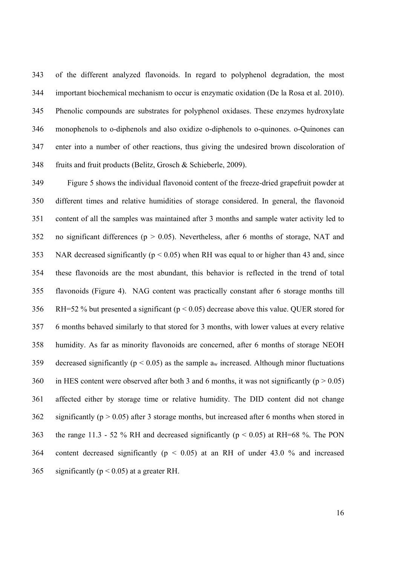343 of the different analyzed flavonoids. In regard to polyphenol degradation, the most 344 important biochemical mechanism to occur is enzymatic oxidation (De la Rosa et al. 2010). 345 Phenolic compounds are substrates for polyphenol oxidases. These enzymes hydroxylate 346 monophenols to o-diphenols and also oxidize o-diphenols to o-quinones. o-Quinones can 347 enter into a number of other reactions, thus giving the undesired brown discoloration of 348 fruits and fruit products (Belitz, Grosch & Schieberle, 2009).

349 Figure 5 shows the individual flavonoid content of the freeze-dried grapefruit powder at 350 different times and relative humidities of storage considered. In general, the flavonoid 351 content of all the samples was maintained after 3 months and sample water activity led to 352 no significant differences ( $p > 0.05$ ). Nevertheless, after 6 months of storage, NAT and 353 NAR decreased significantly ( $p < 0.05$ ) when RH was equal to or higher than 43 and, since 354 these flavonoids are the most abundant, this behavior is reflected in the trend of total 355 flavonoids (Figure 4). NAG content was practically constant after 6 storage months till 356 RH=52 % but presented a significant (p < 0.05) decrease above this value. QUER stored for 357 6 months behaved similarly to that stored for 3 months, with lower values at every relative 358 humidity. As far as minority flavonoids are concerned, after 6 months of storage NEOH 359 decreased significantly ( $p < 0.05$ ) as the sample  $a_w$  increased. Although minor fluctuations 360 in HES content were observed after both 3 and 6 months, it was not significantly ( $p > 0.05$ ) 361 affected either by storage time or relative humidity. The DID content did not change 362 significantly ( $p > 0.05$ ) after 3 storage months, but increased after 6 months when stored in 363 the range 11.3 - 52 % RH and decreased significantly ( $p < 0.05$ ) at RH=68 %. The PON 364 content decreased significantly (p < 0.05) at an RH of under 43.0 % and increased 365 significantly ( $p < 0.05$ ) at a greater RH.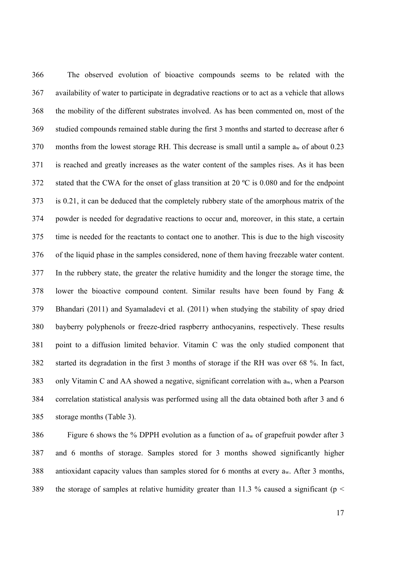366 The observed evolution of bioactive compounds seems to be related with the 367 availability of water to participate in degradative reactions or to act as a vehicle that allows 368 the mobility of the different substrates involved. As has been commented on, most of the 369 studied compounds remained stable during the first 3 months and started to decrease after 6 370 months from the lowest storage RH. This decrease is small until a sample  $a_w$  of about 0.23 371 is reached and greatly increases as the water content of the samples rises. As it has been 372 stated that the CWA for the onset of glass transition at 20 ºC is 0.080 and for the endpoint 373 is 0.21, it can be deduced that the completely rubbery state of the amorphous matrix of the 374 powder is needed for degradative reactions to occur and, moreover, in this state, a certain 375 time is needed for the reactants to contact one to another. This is due to the high viscosity 376 of the liquid phase in the samples considered, none of them having freezable water content. 377 In the rubbery state, the greater the relative humidity and the longer the storage time, the 378 lower the bioactive compound content. Similar results have been found by Fang & 379 Bhandari (2011) and Syamaladevi et al. (2011) when studying the stability of spay dried 380 bayberry polyphenols or freeze-dried raspberry anthocyanins, respectively. These results 381 point to a diffusion limited behavior. Vitamin C was the only studied component that 382 started its degradation in the first 3 months of storage if the RH was over 68 %. In fact, 383 only Vitamin C and AA showed a negative, significant correlation with aw, when a Pearson 384 correlation statistical analysis was performed using all the data obtained both after 3 and 6 385 storage months (Table 3).

386 Figure 6 shows the % DPPH evolution as a function of aw of grapefruit powder after 3 387 and 6 months of storage. Samples stored for 3 months showed significantly higher 388 antioxidant capacity values than samples stored for 6 months at every aw. After 3 months, 389 the storage of samples at relative humidity greater than 11.3 % caused a significant ( $p <$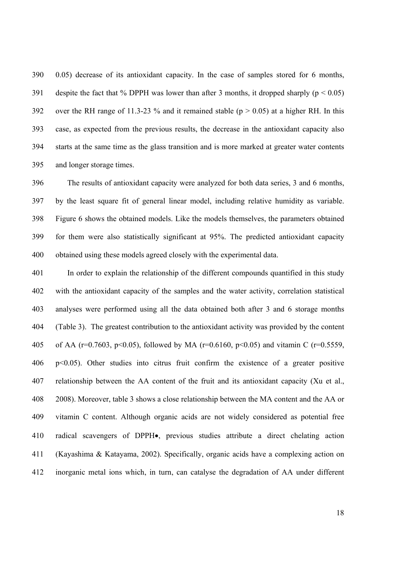390 0.05) decrease of its antioxidant capacity. In the case of samples stored for 6 months, 391 despite the fact that % DPPH was lower than after 3 months, it dropped sharply ( $p < 0.05$ ) 392 over the RH range of 11.3-23 % and it remained stable ( $p > 0.05$ ) at a higher RH. In this 393 case, as expected from the previous results, the decrease in the antioxidant capacity also 394 starts at the same time as the glass transition and is more marked at greater water contents 395 and longer storage times.

396 The results of antioxidant capacity were analyzed for both data series, 3 and 6 months, 397 by the least square fit of general linear model, including relative humidity as variable. 398 Figure 6 shows the obtained models. Like the models themselves, the parameters obtained 399 for them were also statistically significant at 95%. The predicted antioxidant capacity 400 obtained using these models agreed closely with the experimental data.

401 In order to explain the relationship of the different compounds quantified in this study 402 with the antioxidant capacity of the samples and the water activity, correlation statistical 403 analyses were performed using all the data obtained both after 3 and 6 storage months 404 (Table 3). The greatest contribution to the antioxidant activity was provided by the content 405 of AA (r=0.7603, p<0.05), followed by MA (r=0.6160, p<0.05) and vitamin C (r=0.5559, 406 p<0.05). Other studies into citrus fruit confirm the existence of a greater positive 407 relationship between the AA content of the fruit and its antioxidant capacity (Xu et al., 408 2008). Moreover, table 3 shows a close relationship between the MA content and the AA or 409 vitamin C content. Although organic acids are not widely considered as potential free 410 radical scavengers of DPPH $\bullet$ , previous studies attribute a direct chelating action 411 (Kayashima & Katayama, 2002). Specifically, organic acids have a complexing action on 412 inorganic metal ions which, in turn, can catalyse the degradation of AA under different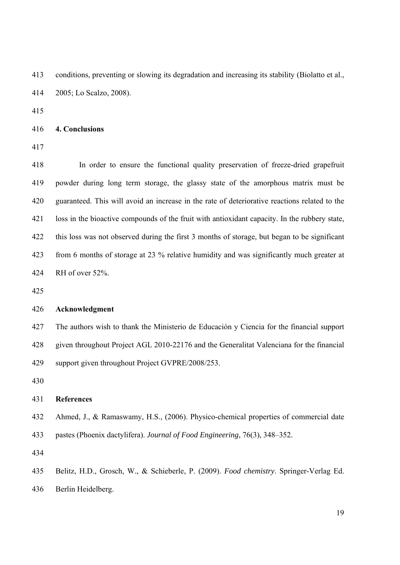413 conditions, preventing or slowing its degradation and increasing its stability (Biolatto et al., 414 2005; Lo Scalzo, 2008).

415

416 **4. Conclusions** 

417

418 In order to ensure the functional quality preservation of freeze-dried grapefruit 419 powder during long term storage, the glassy state of the amorphous matrix must be 420 guaranteed. This will avoid an increase in the rate of deteriorative reactions related to the 421 loss in the bioactive compounds of the fruit with antioxidant capacity. In the rubbery state, 422 this loss was not observed during the first 3 months of storage, but began to be significant 423 from 6 months of storage at 23 % relative humidity and was significantly much greater at 424 RH of over 52%.

425

### 426 **Acknowledgment**

427 The authors wish to thank the Ministerio de Educación y Ciencia for the financial support 428 given throughout Project AGL 2010-22176 and the Generalitat Valenciana for the financial 429 support given throughout Project GVPRE/2008/253.

430

#### 431 **References**

432 Ahmed, J., & Ramaswamy, H.S., (2006). Physico-chemical properties of commercial date

433 pastes (Phoenix dactylifera). *Journal of Food Engineering*, 76(3), 348–352.

434

435 Belitz, H.D., Grosch, W., & Schieberle, P. (2009). *Food chemistry*. Springer-Verlag Ed. 436 Berlin Heidelberg.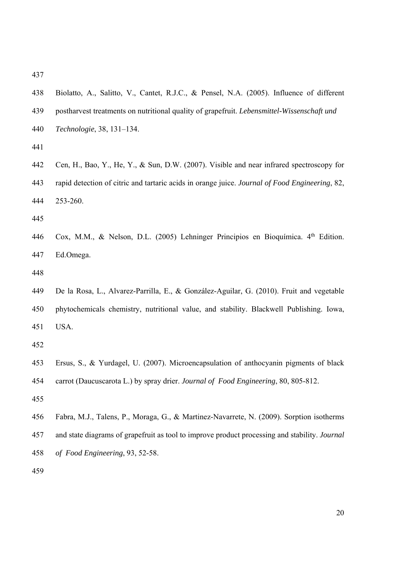438 Biolatto, A., Salitto, V., Cantet, R.J.C., & Pensel, N.A. (2005). Influence of different 439 postharvest treatments on nutritional quality of grapefruit. *Lebensmittel-Wissenschaft und*  440 *Technologie*, 38, 131–134. 441

- 442 Cen, H., Bao, Y., He, Y., & Sun, D.W. (2007). Visible and near infrared spectroscopy for 443 rapid detection of citric and tartaric acids in orange juice. *Journal of Food Engineering*, 82, 444 253-260.
- 445
- 446 Cox, M.M., & Nelson, D.L. (2005) Lehninger Principios en Bioquímica. 4<sup>th</sup> Edition. 447 Ed.Omega.
- 448
- 449 De la Rosa, L., Alvarez-Parrilla, E., & González-Aguilar, G. (2010). Fruit and vegetable 450 phytochemicals chemistry, nutritional value, and stability. Blackwell Publishing. Iowa, 451 USA.
- 452
- 453 Ersus, S., & Yurdagel, U. (2007). Microencapsulation of anthocyanin pigments of black 454 carrot (Daucuscarota L.) by spray drier. *Journal of Food Engineering*, 80, 805-812.
- 455
- 456 Fabra, M.J., Talens, P., Moraga, G., & Martinez-Navarrete, N. (2009). Sorption isotherms 457 and state diagrams of grapefruit as tool to improve product processing and stability. *Journal*
- 458 *of Food Engineering*, 93, 52-58.
- 459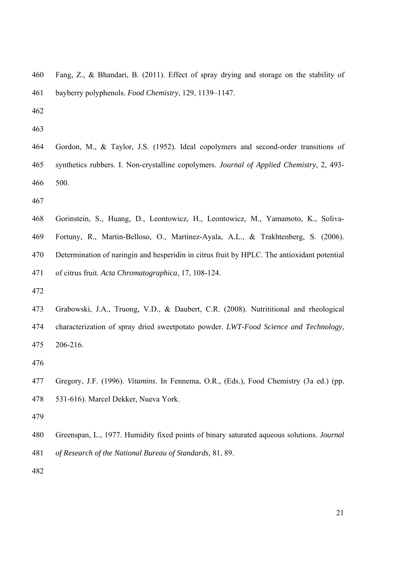460 Fang, Z., & Bhandari, B. (2011). Effect of spray drying and storage on the stability of 461 bayberry polyphenols. *Food Chemistry*, 129, 1139–1147.

462

- 464 Gordon, M., & Taylor, J.S. (1952). Ideal copolymers and second-order transitions of 465 synthetics rubbers. I. Non-crystalline copolymers. *Journal of Applied Chemistry*, 2, 493- 466 500.
- 467
- 468 Gorinstein, S., Huang, D., Leontowicz, H., Leontowicz, M., Yamamoto, K., Soliva-469 Fortuny, R., Martin-Belloso, O., Martinez-Ayala, A.L., & Trakhtenberg, S. (2006). 470 Determination of naringin and hesperidin in citrus fruit by HPLC. The antioxidant potential 471 of citrus fruit. *Acta Chromatographica*, 17, 108-124.
- 472
- 473 Grabowski, J.A., Truong, V.D., & Daubert, C.R. (2008). Nutrititional and rheological 474 characterization of spray dried sweetpotato powder. *LWT-Food Science and Technology*, 475 206-216.
- 476
- 477 Gregory, J.F. (1996). *Vitamins*. In Fennema, O.R., (Eds.), Food Chemistry (3a ed.) (pp. 478 531-616). Marcel Dekker, Nueva York.
- 479
- 480 Greenspan, L., 1977. Humidity fixed points of binary saturated aqueous solutions. *Journal*  481 *of Research of the National Bureau of Standards,* 81, 89.
- 482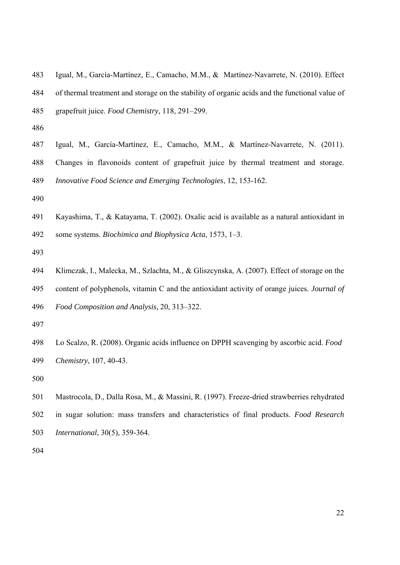- 483 Igual, M., García-Martínez, E., Camacho, M.M., & Martínez-Navarrete, N. (2010). Effect 484 of thermal treatment and storage on the stability of organic acids and the functional value of 485 grapefruit juice. *Food Chemistry*, 118, 291–299.
- 486
- 487 Igual, M., García-Martínez, E., Camacho, M.M., & Martínez-Navarrete, N. (2011). 488 Changes in flavonoids content of grapefruit juice by thermal treatment and storage. 489 *Innovative Food Science and Emerging Technologies*, 12, 153-162.
- 490
- 491 Kayashima, T., & Katayama, T. (2002). Oxalic acid is available as a natural antioxidant in
- 492 some systems. *Biochimica and Biophysica Acta*, 1573, 1–3.
- 493
- 494 Klimczak, I., Malecka, M., Szlachta, M., & Gliszcynska, A. (2007). Effect of storage on the 495 content of polyphenols, vitamin C and the antioxidant activity of orange juices. *Journal of*
- 496 *Food Composition and Analysis*, 20, 313–322.
- 497
- 498 Lo Scalzo, R. (2008). Organic acids influence on DPPH scavenging by ascorbic acid. *Food*  499 *Chemistry*, 107, 40-43.
- 500
- 501 Mastrocola, D., Dalla Rosa, M., & Massini, R. (1997). Freeze-dried strawberries rehydrated 502 in sugar solution: mass transfers and characteristics of final products. *Food Research*  503 *International*, 30(5), 359-364.
- 504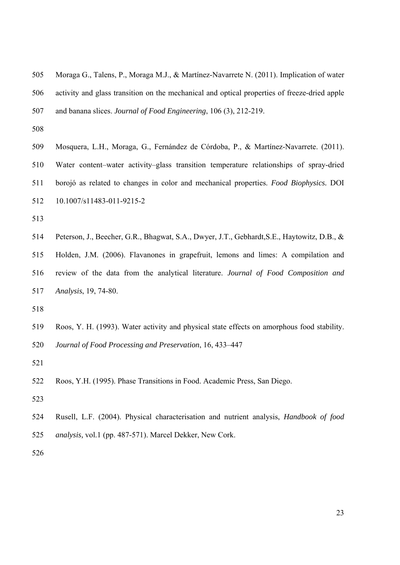- 505 Moraga G., Talens, P., Moraga M.J., & Martínez-Navarrete N. (2011). Implication of water 506 activity and glass transition on the mechanical and optical properties of freeze-dried apple 507 and banana slices. *Journal of Food Engineering*, 106 (3), 212-219.
- 508
- 509 Mosquera, L.H., Moraga, G., Fernández de Córdoba, P., & Martínez-Navarrete. (2011). 510 Water content–water activity–glass transition temperature relationships of spray-dried 511 borojó as related to changes in color and mechanical properties. *Food Biophysics.* DOI 512 10.1007/s11483-011-9215-2
- 513
- 514 Peterson, J., Beecher, G.R., Bhagwat, S.A., Dwyer, J.T., Gebhardt,S.E., Haytowitz, D.B., & 515 Holden, J.M. (2006). Flavanones in grapefruit, lemons and limes: A compilation and 516 review of the data from the analytical literature. *Journal of Food Composition and*  517 *Analysis*, 19, 74-80.
- 518
- 519 Roos, Y. H. (1993). Water activity and physical state effects on amorphous food stability.
- 520 *Journal of Food Processing and Preservation*, 16, 433–447
- 521
- 522 Roos, Y.H. (1995). Phase Transitions in Food. Academic Press, San Diego.
- 523
- 524 Rusell, L.F. (2004). Physical characterisation and nutrient analysis, *Handbook of food*  525 *analysis,* vol.1 (pp. 487-571). Marcel Dekker, New Cork.
- 526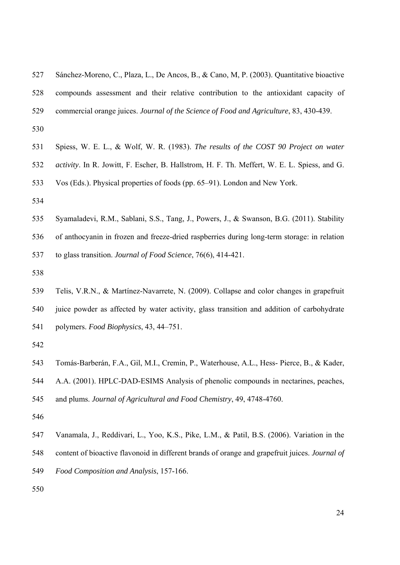| 527 | Sánchez-Moreno, C., Plaza, L., De Ancos, B., & Cano, M. P. (2003). Quantitative bioactive           |
|-----|-----------------------------------------------------------------------------------------------------|
| 528 | compounds assessment and their relative contribution to the antioxidant capacity of                 |
| 529 | commercial orange juices. Journal of the Science of Food and Agriculture, 83, 430-439.              |
| 530 |                                                                                                     |
| 531 | Spiess, W. E. L., & Wolf, W. R. (1983). The results of the COST 90 Project on water                 |
| 532 | <i>activity</i> . In R. Jowitt, F. Escher, B. Hallstrom, H. F. Th. Meffert, W. E. L. Spiess, and G. |
| 533 | Vos (Eds.). Physical properties of foods (pp. 65–91). London and New York.                          |
| 534 |                                                                                                     |
| 535 | Syamaladevi, R.M., Sablani, S.S., Tang, J., Powers, J., & Swanson, B.G. (2011). Stability           |

536 of anthocyanin in frozen and freeze-dried raspberries during long-term storage: in relation

537 to glass transition. *Journal of Food Science*, 76(6), 414-421.

- 538
- 539 Telis, V.R.N., & Martínez-Navarrete, N. (2009). Collapse and color changes in grapefruit 540 juice powder as affected by water activity, glass transition and addition of carbohydrate 541 polymers. *Food Biophysics*, 43, 44–751.
- 542
- 543 Tomás-Barberán, F.A., Gil, M.I., Cremin, P., Waterhouse, A.L., Hess- Pierce, B., & Kader, 544 A.A. (2001). HPLC-DAD-ESIMS Analysis of phenolic compounds in nectarines, peaches,

545 and plums. *Journal of Agricultural and Food Chemistry*, 49, 4748-4760.

- 546
- 547 Vanamala, J., Reddivari, L., Yoo, K.S., Pike, L.M., & Patil, B.S. (2006). Variation in the 548 content of bioactive flavonoid in different brands of orange and grapefruit juices. *Journal of*  549 *Food Composition and Analysis*, 157-166.
- 550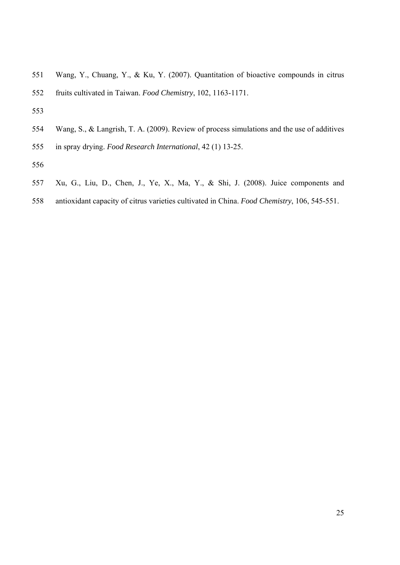- 551 Wang, Y., Chuang, Y., & Ku, Y. (2007). Quantitation of bioactive compounds in citrus
- 552 fruits cultivated in Taiwan. *Food Chemistry*, 102, 1163-1171.
- 553
- 554 Wang, S., & Langrish, T. A. (2009). Review of process simulations and the use of additives 555 in spray drying. *Food Research International*, 42 (1) 13-25.
- 556
- 557 Xu, G., Liu, D., Chen, J., Ye, X., Ma, Y., & Shi, J. (2008). Juice components and
- 558 antioxidant capacity of citrus varieties cultivated in China. *Food Chemistry*, 106, 545-551.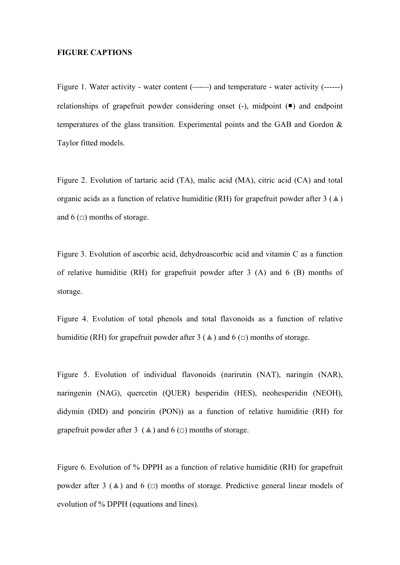## **FIGURE CAPTIONS**

Figure 1. Water activity - water content (-----) and temperature - water activity (------) relationships of grapefruit powder considering onset  $(-)$ , midpoint  $(\blacksquare)$  and endpoint temperatures of the glass transition. Experimental points and the GAB and Gordon  $\&$ Taylor fitted models.

Figure 2. Evolution of tartaric acid (TA), malic acid (MA), citric acid (CA) and total organic acids as a function of relative humiditie (RH) for grapefruit powder after  $3(\triangle)$ and 6  $\left(\square\right)$  months of storage.

Figure 3. Evolution of ascorbic acid, dehydroascorbic acid and vitamin C as a function of relative humiditie (RH) for grapefruit powder after 3 (A) and 6 (B) months of storage.

Figure 4. Evolution of total phenols and total flavonoids as a function of relative humiditie (RH) for grapefruit powder after 3 ( $\triangle$ ) and 6 ( $\Box$ ) months of storage.

Figure 5. Evolution of individual flavonoids (narirutin (NAT), naringin (NAR), naringenin (NAG), quercetin (QUER) hesperidin (HES), neohesperidin (NEOH), didymin (DID) and poncirin (PON)) as a function of relative humiditie (RH) for grapefruit powder after 3 ( $\triangle$ ) and 6 ( $\Box$ ) months of storage.

Figure 6. Evolution of % DPPH as a function of relative humiditie (RH) for grapefruit powder after 3 ( $\triangle$ ) and 6 ( $\Box$ ) months of storage. Predictive general linear models of evolution of % DPPH (equations and lines).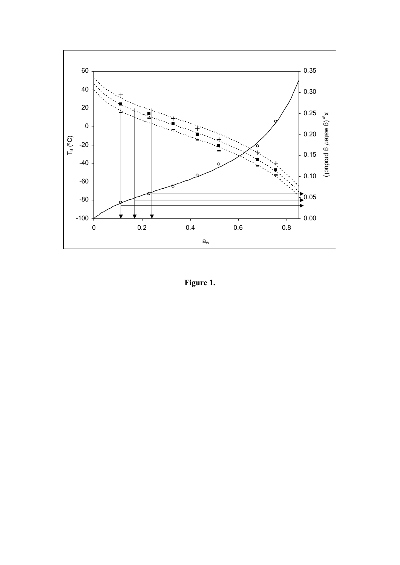

**Figure 1.**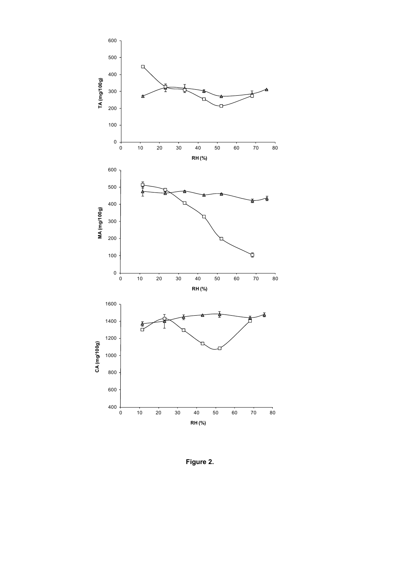

**Figure 2.**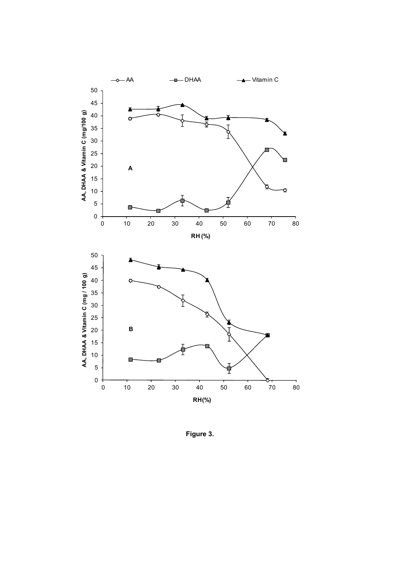

**Figure 3.**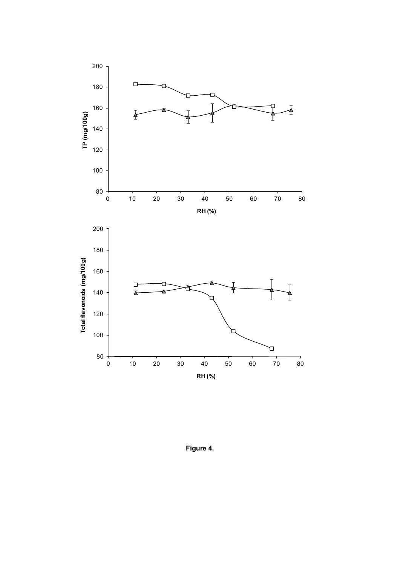

**Figure 4.**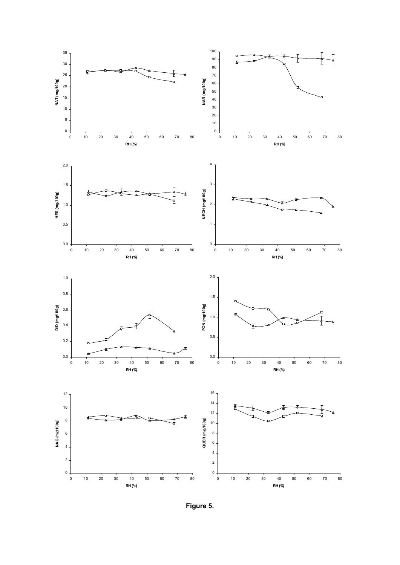

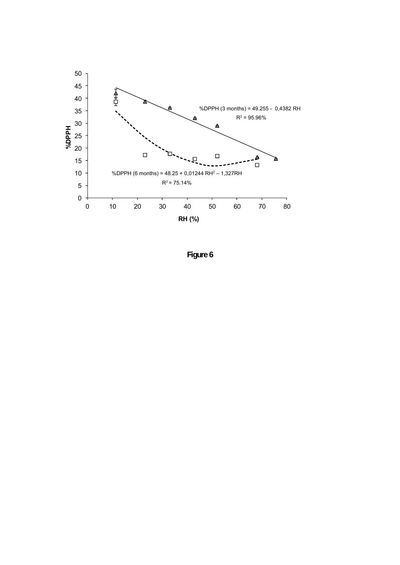

**Figure 6**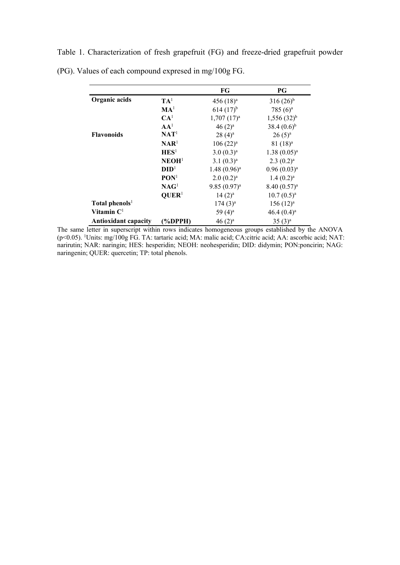Table 1. Characterization of fresh grapefruit (FG) and freeze-dried grapefruit powder (PG). Values of each compound expresed in mg/100g FG.

|                             |                   | FG                    | PG                    |
|-----------------------------|-------------------|-----------------------|-----------------------|
| Organic acids               | $TA^1$            | 456 $(18)^a$          | $316(26)^{b}$         |
|                             | MA <sup>1</sup>   | $614 (17)^{b}$        | 785 $(6)^a$           |
|                             | CA <sup>1</sup>   | $1,707(17)^a$         | $1,556(32)^{b}$       |
|                             | AA <sup>1</sup>   | $46(2)^a$             | $38.4(0.6)^{b}$       |
| <b>Flavonoids</b>           | $\mathbf{NAT}^1$  | $28(4)^a$             | $26(5)^a$             |
|                             | NAR <sup>1</sup>  | 106 (22) <sup>a</sup> | $81(18)^a$            |
|                             | HES <sup>1</sup>  | $3.0(0.3)^a$          | $1.38(0.05)^{a}$      |
|                             | NEOH <sup>1</sup> | $3.1(0.3)^a$          | $2.3(0.2)^a$          |
|                             | DID <sup>1</sup>  | $1.48(0.96)^a$        | $0.96(0.03)^{a}$      |
|                             | PON <sup>1</sup>  | $2.0(0.2)^a$          | $1.4(0.2)^a$          |
|                             | NAG <sup>1</sup>  | $9.85(0.97)^{a}$      | $8.40(0.57)^a$        |
|                             | QUER <sup>1</sup> | $14(2)^a$             | $10.7(0.5)^a$         |
| Total phenols <sup>1</sup>  |                   | $174(3)^a$            | 156 (12) <sup>a</sup> |
| Vitamin $C1$                |                   | 59 $(4)^a$            | 46.4 $(0.4)^a$        |
| <b>Antioxidant capacity</b> | (%DPPH)           | $46(2)^a$             | $35(3)^a$             |

The same letter in superscript within rows indicates homogeneous groups established by the ANOVA (p<0.05). 1 Units: mg/100g FG. TA: tartaric acid; MA: malic acid; CA:citric acid; AA: ascorbic acid; NAT: narirutin; NAR: naringin; HES: hesperidin; NEOH: neohesperidin; DID: didymin; PON:poncirin; NAG: naringenin; QUER: quercetin; TP: total phenols.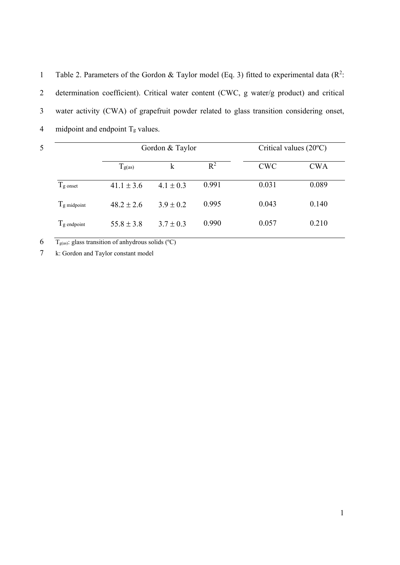1 Table 2. Parameters of the Gordon & Taylor model (Eq. 3) fitted to experimental data ( $\mathbb{R}^2$ : 2 determination coefficient). Critical water content (CWC, g water/g product) and critical 3 water activity (CWA) of grapefruit powder related to glass transition considering onset, 4 midpoint and endpoint  $T_g$  values.

| 5 |                   | Gordon & Taylor |               |                | Critical values $(20^{\circ}C)$ |            |  |
|---|-------------------|-----------------|---------------|----------------|---------------------------------|------------|--|
|   |                   | $T_{g(as)}$     | k             | $\mathbb{R}^2$ | <b>CWC</b>                      | <b>CWA</b> |  |
|   | $T_{\rm g}$ onset | $41.1 \pm 3.6$  | $4.1 \pm 0.3$ | 0.991          | 0.031                           | 0.089      |  |
|   | $T_g$ midpoint    | $48.2 \pm 2.6$  | $3.9 \pm 0.2$ | 0.995          | 0.043                           | 0.140      |  |
|   | $T_g$ endpoint    | $55.8 \pm 3.8$  | $3.7 \pm 0.3$ | 0.990          | 0.057                           | 0.210      |  |

6  $\overline{T_{\text{g(as)}}$ : glass transition of anhydrous solids (°C)

7 k: Gordon and Taylor constant model